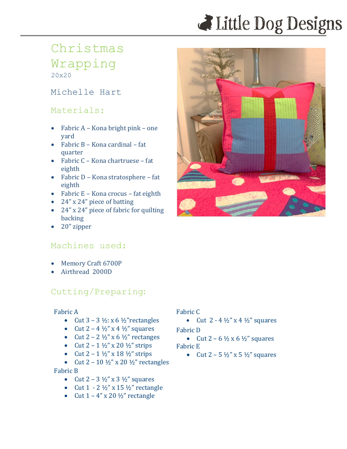## Christmas Wrapping 20x20

### Michelle Hart

## Materials:

- Fabric A Kona bright pink one yard
- Fabric B Kona cardinal fat quarter
- Fabric C Kona chartruese fat eighth
- Fabric D Kona stratosphere fat eighth
- Fabric E Kona crocus fat eighth
- 24" x 24" piece of batting
- 24" x 24" piece of fabric for quilting backing
- 20" zipper

### Machines used:

- Memory Craft 6700P
- Airthread 2000D

## Cutting/Preparing:

#### Fabric A

- Cut  $3 3\frac{1}{2}$ : x 6  $\frac{1}{2}$ " rectangles
- Cut  $2 4 \frac{1}{2} x 4 \frac{1}{2}$  squares
- Cut  $2 2 \frac{1}{2}$  x 6  $\frac{1}{2}$  rectanges
- Cut  $2 1 \frac{1}{2}$  x 20  $\frac{1}{2}$  strips
- Cut  $2 1 \frac{1}{2}$  x 18  $\frac{1}{2}$  strips
- Cut  $2 10 \frac{1}{2}$ " x  $20 \frac{1}{2}$ " rectangles

#### Fabric B

- Cut  $2 3 \frac{1}{2}$ " x 3  $\frac{1}{2}$ " squares
- Cut  $1 2 \frac{1}{2}$ " x  $15 \frac{1}{2}$ " rectangle
- Cut  $1 4$ " x  $20 \frac{1}{2}$ " rectangle

#### Fabric C

- Cut  $2 4 \frac{1}{2} x 4 \frac{1}{2}$  squares Fabric D
- Cut  $2 6 \frac{1}{2} \times 6 \frac{1}{2}$  squares Fabric E
	- Cut  $2 5 \frac{1}{2} x$  x 5  $\frac{1}{2} x$  squares



# *<del>dela</del>* Little Dog Designs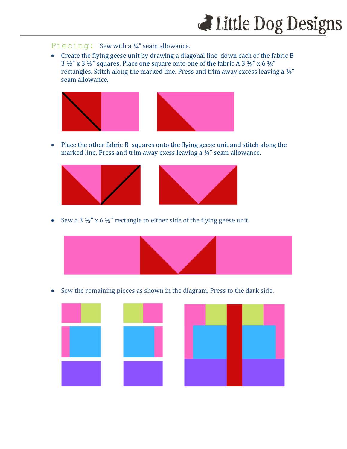## *<del></del>* Little Dog Designs

#### Piecing: Sew with a ¼" seam allowance.

• Create the flying geese unit by drawing a diagonal line down each of the fabric B 3  $\frac{1}{2}$ " x 3  $\frac{1}{2}$ " squares. Place one square onto one of the fabric A 3  $\frac{1}{2}$ " x 6  $\frac{1}{2}$ " rectangles. Stitch along the marked line. Press and trim away excess leaving a ¼" seam allowance.



• Place the other fabric B squares onto the flying geese unit and stitch along the marked line. Press and trim away exess leaving a ¼" seam allowance.





• Sew a 3  $\frac{1}{2}$ " x 6  $\frac{1}{2}$ " rectangle to either side of the flying geese unit.



• Sew the remaining pieces as shown in the diagram. Press to the dark side.

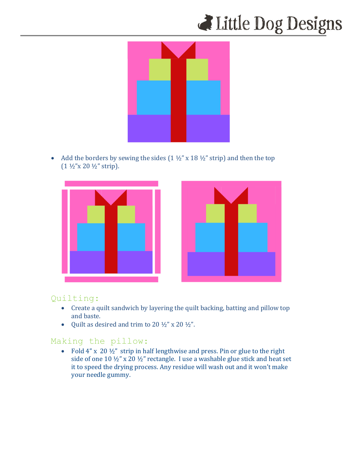# Little Dog Designs



• Add the borders by sewing the sides  $(1 \frac{1}{2} x^2 \times 18 \frac{1}{2} x^3 \times x^4)$  and then the top  $(1 \frac{1}{2} x 20 \frac{1}{2} x \text{ strip}).$ 





### Quilting:

- Create a quilt sandwich by layering the quilt backing, batting and pillow top and baste.
- Quilt as desired and trim to 20  $\frac{1}{2}$ " x 20  $\frac{1}{2}$ ".

## Making the pillow:

• Fold  $4''$  x 20  $\frac{1}{2}$ " strip in half lengthwise and press. Pin or glue to the right side of one 10 ½" x 20 ½" rectangle. I use a washable glue stick and heat set it to speed the drying process. Any residue will wash out and it won't make your needle gummy.